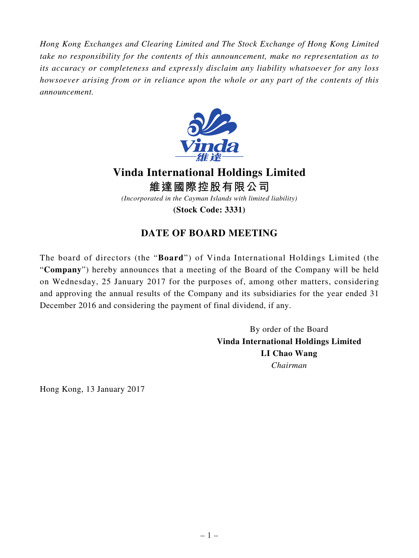*Hong Kong Exchanges and Clearing Limited and The Stock Exchange of Hong Kong Limited take no responsibility for the contents of this announcement, make no representation as to its accuracy or completeness and expressly disclaim any liability whatsoever for any loss howsoever arising from or in reliance upon the whole or any part of the contents of this announcement.*



## **Vinda International Holdings Limited**

**維達國際控股有限公司** *(Incorporated in the Cayman Islands with limited liability)*

**(Stock Code: 3331)**

## **DATE OF BOARD MEETING**

The board of directors (the "**Board**") of Vinda International Holdings Limited (the "**Company**") hereby announces that a meeting of the Board of the Company will be held on Wednesday, 25 January 2017 for the purposes of, among other matters, considering and approving the annual results of the Company and its subsidiaries for the year ended 31 December 2016 and considering the payment of final dividend, if any.

> By order of the Board **Vinda International Holdings Limited LI Chao Wang** *Chairman*

Hong Kong, 13 January 2017